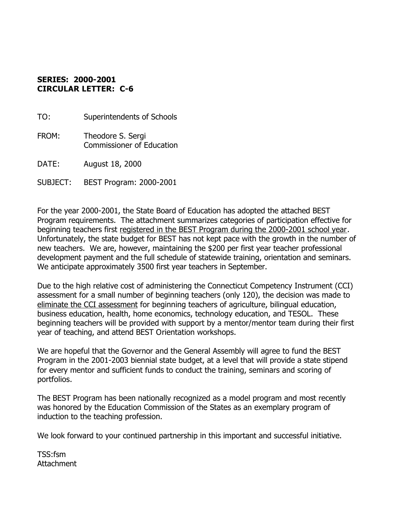## **SERIES: 2000-2001 CIRCULAR LETTER: C-6**

TO: Superintendents of Schools

FROM: Theodore S. Sergi Commissioner of Education

DATE: August 18, 2000

SUBJECT: BEST Program: 2000-2001

For the year 2000-2001, the State Board of Education has adopted the attached BEST Program requirements. The attachment summarizes categories of participation effective for beginning teachers first registered in the BEST Program during the 2000-2001 school year. Unfortunately, the state budget for BEST has not kept pace with the growth in the number of new teachers. We are, however, maintaining the \$200 per first year teacher professional development payment and the full schedule of statewide training, orientation and seminars. We anticipate approximately 3500 first year teachers in September.

Due to the high relative cost of administering the Connecticut Competency Instrument (CCI) assessment for a small number of beginning teachers (only 120), the decision was made to eliminate the CCI assessment for beginning teachers of agriculture, bilingual education, business education, health, home economics, technology education, and TESOL. These beginning teachers will be provided with support by a mentor/mentor team during their first year of teaching, and attend BEST Orientation workshops.

We are hopeful that the Governor and the General Assembly will agree to fund the BEST Program in the 2001-2003 biennial state budget, at a level that will provide a state stipend for every mentor and sufficient funds to conduct the training, seminars and scoring of portfolios.

The BEST Program has been nationally recognized as a model program and most recently was honored by the Education Commission of the States as an exemplary program of induction to the teaching profession.

We look forward to your continued partnership in this important and successful initiative.

TSS:fsm Attachment